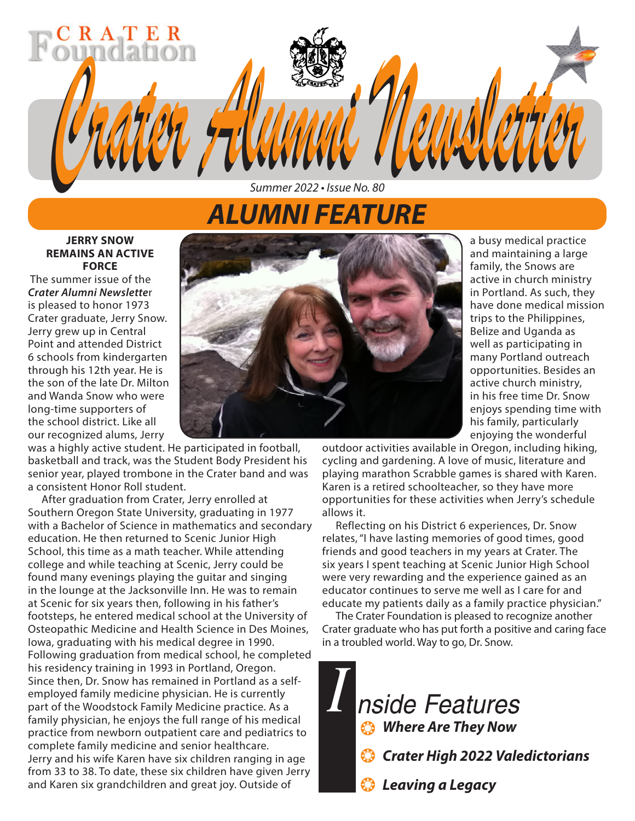# *Crater Alumni Newsletter Crater Alumni Newsletter Summer 2022 • Issue No. 80*

# *ALUMNI FEATURE*

#### **JERRY SNOW REMAINS AN ACTIVE FORCE**

RATE

 The summer issue of the *Crater Alumni Newslette*r is pleased to honor 1973 Crater graduate, Jerry Snow. Jerry grew up in Central Point and attended District 6 schools from kindergarten through his 12th year. He is the son of the late Dr. Milton and Wanda Snow who were long-time supporters of the school district. Like all our recognized alums, Jerry



was a highly active student. He participated in football, basketball and track, was the Student Body President his senior year, played trombone in the Crater band and was a consistent Honor Roll student.

After graduation from Crater, Jerry enrolled at Southern Oregon State University, graduating in 1977 with a Bachelor of Science in mathematics and secondary education. He then returned to Scenic Junior High School, this time as a math teacher. While attending college and while teaching at Scenic, Jerry could be found many evenings playing the guitar and singing in the lounge at the Jacksonville Inn. He was to remain at Scenic for six years then, following in his father's footsteps, he entered medical school at the University of Osteopathic Medicine and Health Science in Des Moines, Iowa, graduating with his medical degree in 1990. Following graduation from medical school, he completed his residency training in 1993 in Portland, Oregon. Since then, Dr. Snow has remained in Portland as a selfemployed family medicine physician. He is currently part of the Woodstock Family Medicine practice. As a family physician, he enjoys the full range of his medical practice from newborn outpatient care and pediatrics to complete family medicine and senior healthcare. Jerry and his wife Karen have six children ranging in age from 33 to 38. To date, these six children have given Jerry and Karen six grandchildren and great joy. Outside of

a busy medical practice and maintaining a large family, the Snows are active in church ministry in Portland. As such, they have done medical mission trips to the Philippines, Belize and Uganda as well as participating in many Portland outreach opportunities. Besides an active church ministry, in his free time Dr. Snow enjoys spending time with his family, particularly enjoying the wonderful

outdoor activities available in Oregon, including hiking, cycling and gardening. A love of music, literature and playing marathon Scrabble games is shared with Karen. Karen is a retired schoolteacher, so they have more opportunities for these activities when Jerry's schedule allows it.

Reflecting on his District 6 experiences, Dr. Snow relates, "I have lasting memories of good times, good friends and good teachers in my years at Crater. The six years I spent teaching at Scenic Junior High School were very rewarding and the experience gained as an educator continues to serve me well as I care for and educate my patients daily as a family practice physician."

The Crater Foundation is pleased to recognize another Crater graduate who has put forth a positive and caring face in a troubled world. Way to go, Dr. Snow.

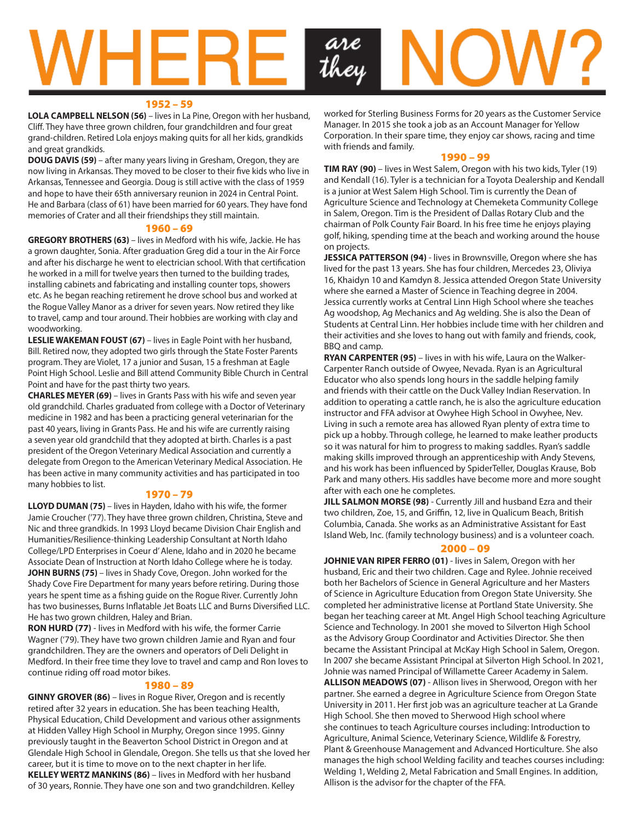

#### 1952 – 59

**LOLA CAMPBELL NELSON (56)** – lives in La Pine, Oregon with her husband, Cliff. They have three grown children, four grandchildren and four great grand-children. Retired Lola enjoys making quits for all her kids, grandkids and great grandkids.

**DOUG DAVIS (59)** – after many years living in Gresham, Oregon, they are now living in Arkansas. They moved to be closer to their five kids who live in Arkansas, Tennessee and Georgia. Doug is still active with the class of 1959 and hope to have their 65th anniversary reunion in 2024 in Central Point. He and Barbara (class of 61) have been married for 60 years. They have fond memories of Crater and all their friendships they still maintain.

#### 1960 – 69

**GREGORY BROTHERS (63)** – lives in Medford with his wife, Jackie. He has a grown daughter, Sonia. After graduation Greg did a tour in the Air Force and after his discharge he went to electrician school. With that certification he worked in a mill for twelve years then turned to the building trades, installing cabinets and fabricating and installing counter tops, showers etc. As he began reaching retirement he drove school bus and worked at the Rogue Valley Manor as a driver for seven years. Now retired they like to travel, camp and tour around. Their hobbies are working with clay and woodworking.

**LESLIE WAKEMAN FOUST (67)** – lives in Eagle Point with her husband, Bill. Retired now, they adopted two girls through the State Foster Parents program. They are Violet, 17 a junior and Susan, 15 a freshman at Eagle Point High School. Leslie and Bill attend Community Bible Church in Central Point and have for the past thirty two years.

**CHARLES MEYER (69)** – lives in Grants Pass with his wife and seven year old grandchild. Charles graduated from college with a Doctor of Veterinary medicine in 1982 and has been a practicing general veterinarian for the past 40 years, living in Grants Pass. He and his wife are currently raising a seven year old grandchild that they adopted at birth. Charles is a past president of the Oregon Veterinary Medical Association and currently a delegate from Oregon to the American Veterinary Medical Association. He has been active in many community activities and has participated in too many hobbies to list.

#### 1970 – 79

**LLOYD DUMAN (75)** – lives in Hayden, Idaho with his wife, the former Jamie Croucher ('77). They have three grown children, Christina, Steve and Nic and three grandkids. In 1993 Lloyd became Division Chair English and Humanities/Resilience-thinking Leadership Consultant at North Idaho College/LPD Enterprises in Coeur d' Alene, Idaho and in 2020 he became Associate Dean of Instruction at North Idaho College where he is today. **JOHN BURNS (75)** – lives in Shady Cove, Oregon. John worked for the Shady Cove Fire Department for many years before retiring. During those years he spent time as a fishing guide on the Rogue River. Currently John has two businesses, Burns Inflatable Jet Boats LLC and Burns Diversified LLC. He has two grown children, Haley and Brian.

**RON HURD (77)** - lives in Medford with his wife, the former Carrie Wagner ('79). They have two grown children Jamie and Ryan and four grandchildren. They are the owners and operators of Deli Delight in Medford. In their free time they love to travel and camp and Ron loves to continue riding off road motor bikes.

#### 1980 – 89

**GINNY GROVER (86)** – lives in Rogue River, Oregon and is recently retired after 32 years in education. She has been teaching Health, Physical Education, Child Development and various other assignments at Hidden Valley High School in Murphy, Oregon since 1995. Ginny previously taught in the Beaverton School District in Oregon and at Glendale High School in Glendale, Oregon. She tells us that she loved her career, but it is time to move on to the next chapter in her life. **KELLEY WERTZ MANKINS (86)** – lives in Medford with her husband of 30 years, Ronnie. They have one son and two grandchildren. Kelley

worked for Sterling Business Forms for 20 years as the Customer Service Manager. In 2015 she took a job as an Account Manager for Yellow Corporation. In their spare time, they enjoy car shows, racing and time with friends and family.

#### 1990 – 99

**TIM RAY (90)** – lives in West Salem, Oregon with his two kids, Tyler (19) and Kendall (16). Tyler is a technician for a Toyota Dealership and Kendall is a junior at West Salem High School. Tim is currently the Dean of Agriculture Science and Technology at Chemeketa Community College in Salem, Oregon. Tim is the President of Dallas Rotary Club and the chairman of Polk County Fair Board. In his free time he enjoys playing golf, hiking, spending time at the beach and working around the house on projects.

**JESSICA PATTERSON (94)** - lives in Brownsville, Oregon where she has lived for the past 13 years. She has four children, Mercedes 23, Oliviya 16, Khaidyn 10 and Kamdyn 8. Jessica attended Oregon State University where she earned a Master of Science in Teaching degree in 2004. Jessica currently works at Central Linn High School where she teaches Ag woodshop, Ag Mechanics and Ag welding. She is also the Dean of Students at Central Linn. Her hobbies include time with her children and their activities and she loves to hang out with family and friends, cook, BBQ and camp.

**RYAN CARPENTER (95)** – lives in with his wife, Laura on the Walker-Carpenter Ranch outside of Owyee, Nevada. Ryan is an Agricultural Educator who also spends long hours in the saddle helping family and friends with their cattle on the Duck Valley Indian Reservation. In addition to operating a cattle ranch, he is also the agriculture education instructor and FFA advisor at Owyhee High School in Owyhee, Nev. Living in such a remote area has allowed Ryan plenty of extra time to pick up a hobby. Through college, he learned to make leather products so it was natural for him to progress to making saddles. Ryan's saddle making skills improved through an apprenticeship with Andy Stevens, and his work has been influenced by SpiderTeller, Douglas Krause, Bob Park and many others. His saddles have become more and more sought after with each one he completes.

**JILL SALMON MORSE (98)** - Currently Jill and husband Ezra and their two children, Zoe, 15, and Griffin, 12, live in Qualicum Beach, British Columbia, Canada. She works as an Administrative Assistant for East Island Web, Inc. (family technology business) and is a volunteer coach.

#### 2000 – 09

**JOHNIE VAN RIPER FERRO (01)** - lives in Salem, Oregon with her husband, Eric and their two children. Cage and Rylee. Johnie received both her Bachelors of Science in General Agriculture and her Masters of Science in Agriculture Education from Oregon State University. She completed her administrative license at Portland State University. She began her teaching career at Mt. Angel High School teaching Agriculture Science and Technology. In 2001 she moved to Silverton High School as the Advisory Group Coordinator and Activities Director. She then became the Assistant Principal at McKay High School in Salem, Oregon. In 2007 she became Assistant Principal at Silverton High School. In 2021, Johnie was named Principal of Willamette Career Academy in Salem. **ALLISON MEADOWS (07)** - Allison lives in Sherwood, Oregon with her partner. She earned a degree in Agriculture Science from Oregon State University in 2011. Her first job was an agriculture teacher at La Grande High School. She then moved to Sherwood High school where she continues to teach Agriculture courses including: Introduction to Agriculture, Animal Science, Veterinary Science, Wildlife & Forestry, Plant & Greenhouse Management and Advanced Horticulture. She also manages the high school Welding facility and teaches courses including: Welding 1, Welding 2, Metal Fabrication and Small Engines. In addition, Allison is the advisor for the chapter of the FFA.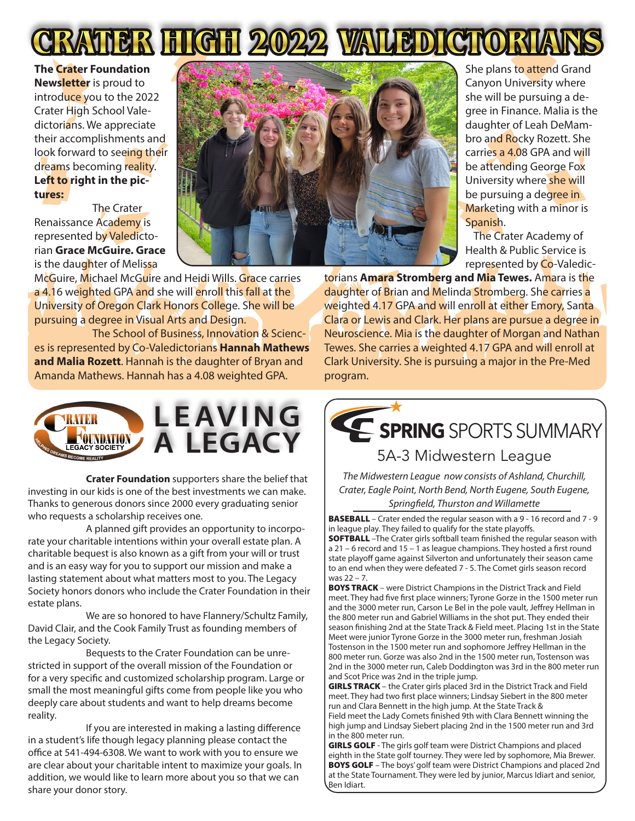

**The Crater Foundation Newsletter** is proud to introduce you to the 2022 Crater High School Valedictorians. We appreciate their accomplishments and look forward to seeing their dreams becoming reality. **Left to right in the pictures:** 

The Crater Renaissance Academy is represented by Valedictorian **Grace McGuire. Grace** is the daughter of Melissa



McGuire, Michael McGuire and Heidi Wills. Grace carries a 4.16 weighted GPA and she will enroll this fall at the University of Oregon Clark Honors College. She will be pursuing a degree in Visual Arts and Design.

The School of Business, Innovation & Sciences is represented by Co-Valedictorians **Hannah Mathews and Malia Rozett**. Hannah is the daughter of Bryan and Amanda Mathews. Hannah has a 4.08 weighted GPA. program. **LEAVING A LEGACY** She plans to attend Grand Canyon University where she will be pursuing a degree in Finance. Malia is the daughter of Leah DeMambro and Rocky Rozett. She carries a 4.08 GPA and will be attending George Fox University where she will be pursuing a degree in Marketing with a minor is Spanish.

The Crater Academy of Health & Public Service is represented by Co-Valedic-

torians **Amara Stromberg and Mia Tewes.** Amara is the daughter of Brian and Melinda Stromberg. She carries a weighted 4.17 GPA and will enroll at either Emory, Santa Clara or Lewis and Clark. Her plans are pursue a degree in Neuroscience. Mia is the daughter of Morgan and Nathan Tewes. She carries a weighted 4.17 GPA and will enroll at Clark University. She is pursuing a major in the Pre-Med



**Crater Foundation** supporters share the belief that **in** The Midw we can make. Thanks to generous donors since 2000 every graduating senior who requests a investing in our kids is one of the best investments we can make. meeting in ear hearted one or the addening since the diminish.<br>Thanks to generous donors since 2000 every graduating senior who requests a scholarship receives one.  $\blacksquare$ 

A planned gift provides an opportunity to incorpo-  $\vert$  in league play rate your charitable intentions within your overall estate plan. A  $\blacksquare$  **SOFTBALL** -Th charitable bequest is also known as a gift from your will or trust and is an easy way for you to support our mission and make a  $\frac{1}{10}$  to an end when lasting statement about what matters most to you. The Legacy Society honors donors who include the Crater Foundation in their  $\Big|\biguplus_{\text{mod I}}^{\text{BOYS1}}$ estate plans. The most of a very specific and customized scholarship program. Large or small the most of most or small the most of  $\frac{1}{2}$  and the

We are so honored to have Flannery/Schultz Family,  $\parallel$  the 800 meter David Clair, and the Cook Family Trust as founding members of If you are interested in making a last in term in a student's life though legacy Society.<br>Tostenson in a student's life though legacy planning planning planning planning planning planning planning pla

Bequests to the Crater Foundation can be unre- $\left| \begin{array}{c} \text{oscall} \\ \text{800 meter} \end{array} \right|$ stricted in support of the overall mission of the Foundation or  $\vert$  2nd in the 3000 for a very specific and customized scholarship program. Large or small the most meaningful gifts come from people like you who deeply care about students and want to help dreams become reality.

If you are interested in making a lasting difference in a student's life though legacy planning please contact the office at 541-494-6308. We want to work with you to ensure we are clear about your charitable intent to maximize your goals. In addition, we would like to learn more about you so that we can share your donor story.

SPRING SPORTS SUMMARY

### 5A-3 Midwestern League

*The Midwestern League now consists of Ashland, Churchill, Crater, Eagle Point, North Bend, North Eugene, South Eugene, Springfield, Thurston and Willamette*

BASEBALL – Crater ended the regular season with a 9 - 16 record and 7 - 9 in league play. They failed to qualify for the state playoffs.

SOFTBALL –The Crater girls softball team finished the regular season with a 21 – 6 record and 15 – 1 as league champions. They hosted a first round state playoff game against Silverton and unfortunately their season came to an end when they were defeated 7 - 5. The Comet girls season record was 22 – 7.

BOYS TRACK – were District Champions in the District Track and Field meet. They had five first place winners; Tyrone Gorze in the 1500 meter run and the 3000 meter run, Carson Le Bel in the pole vault, Jeffrey Hellman in the 800 meter run and Gabriel Williams in the shot put. They ended their season finishing 2nd at the State Track & Field meet. Placing 1st in the State Meet were junior Tyrone Gorze in the 3000 meter run, freshman Josiah Tostenson in the 1500 meter run and sophomore Jeffrey Hellman in the 800 meter run. Gorze was also 2nd in the 1500 meter run, Tostenson was 2nd in the 3000 meter run, Caleb Doddington was 3rd in the 800 meter run and Scot Price was 2nd in the triple jump.

GIRLS TRACK - the Crater girls placed 3rd in the District Track and Field meet. They had two first place winners; Lindsay Siebert in the 800 meter run and Clara Bennett in the high jump. At the State Track &

Field meet the Lady Comets finished 9th with Clara Bennett winning the high jump and Lindsay Siebert placing 2nd in the 1500 meter run and 3rd in the 800 meter run.

GIRLS GOLF - The girls golf team were District Champions and placed eighth in the State golf tourney. They were led by sophomore, Mia Brewer. **BOYS GOLF** – The boys' golf team were District Champions and placed 2nd at the State Tournament. They were led by junior, Marcus Idiart and senior, Ben Idiart.